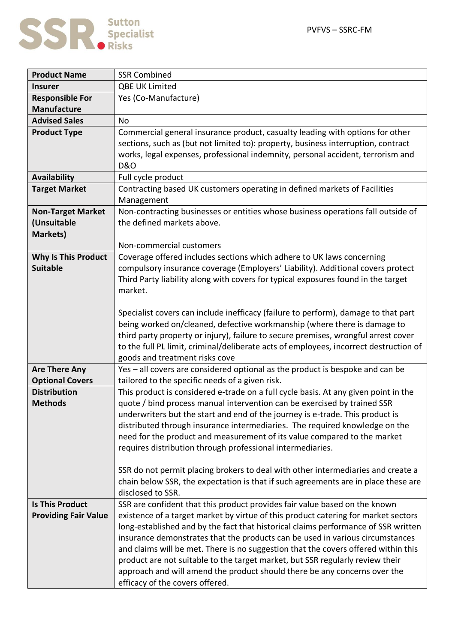

| <b>Product Name</b>         | <b>SSR Combined</b>                                                                                                                                          |
|-----------------------------|--------------------------------------------------------------------------------------------------------------------------------------------------------------|
| <b>Insurer</b>              | QBE UK Limited                                                                                                                                               |
| <b>Responsible For</b>      | Yes (Co-Manufacture)                                                                                                                                         |
| <b>Manufacture</b>          |                                                                                                                                                              |
| <b>Advised Sales</b>        | <b>No</b>                                                                                                                                                    |
| <b>Product Type</b>         | Commercial general insurance product, casualty leading with options for other                                                                                |
|                             | sections, such as (but not limited to): property, business interruption, contract                                                                            |
|                             | works, legal expenses, professional indemnity, personal accident, terrorism and                                                                              |
|                             | <b>D&amp;O</b>                                                                                                                                               |
| <b>Availability</b>         | Full cycle product                                                                                                                                           |
| <b>Target Market</b>        | Contracting based UK customers operating in defined markets of Facilities                                                                                    |
|                             | Management                                                                                                                                                   |
| <b>Non-Target Market</b>    | Non-contracting businesses or entities whose business operations fall outside of                                                                             |
| (Unsuitable                 | the defined markets above.                                                                                                                                   |
| <b>Markets)</b>             |                                                                                                                                                              |
|                             | Non-commercial customers                                                                                                                                     |
| <b>Why Is This Product</b>  | Coverage offered includes sections which adhere to UK laws concerning                                                                                        |
| <b>Suitable</b>             | compulsory insurance coverage (Employers' Liability). Additional covers protect                                                                              |
|                             | Third Party liability along with covers for typical exposures found in the target                                                                            |
|                             | market.                                                                                                                                                      |
|                             |                                                                                                                                                              |
|                             | Specialist covers can include inefficacy (failure to perform), damage to that part                                                                           |
|                             | being worked on/cleaned, defective workmanship (where there is damage to                                                                                     |
|                             | third party property or injury), failure to secure premises, wrongful arrest cover                                                                           |
|                             | to the full PL limit, criminal/deliberate acts of employees, incorrect destruction of                                                                        |
|                             | goods and treatment risks cove                                                                                                                               |
| <b>Are There Any</b>        | Yes - all covers are considered optional as the product is bespoke and can be                                                                                |
| <b>Optional Covers</b>      | tailored to the specific needs of a given risk.                                                                                                              |
| <b>Distribution</b>         | This product is considered e-trade on a full cycle basis. At any given point in the                                                                          |
| <b>Methods</b>              | quote / bind process manual intervention can be exercised by trained SSR                                                                                     |
|                             | underwriters but the start and end of the journey is e-trade. This product is<br>distributed through insurance intermediaries. The required knowledge on the |
|                             | need for the product and measurement of its value compared to the market                                                                                     |
|                             | requires distribution through professional intermediaries.                                                                                                   |
|                             |                                                                                                                                                              |
|                             | SSR do not permit placing brokers to deal with other intermediaries and create a                                                                             |
|                             | chain below SSR, the expectation is that if such agreements are in place these are                                                                           |
|                             | disclosed to SSR.                                                                                                                                            |
| <b>Is This Product</b>      | SSR are confident that this product provides fair value based on the known                                                                                   |
| <b>Providing Fair Value</b> | existence of a target market by virtue of this product catering for market sectors                                                                           |
|                             | long-established and by the fact that historical claims performance of SSR written                                                                           |
|                             | insurance demonstrates that the products can be used in various circumstances                                                                                |
|                             | and claims will be met. There is no suggestion that the covers offered within this                                                                           |
|                             | product are not suitable to the target market, but SSR regularly review their                                                                                |
|                             | approach and will amend the product should there be any concerns over the                                                                                    |
|                             | efficacy of the covers offered.                                                                                                                              |